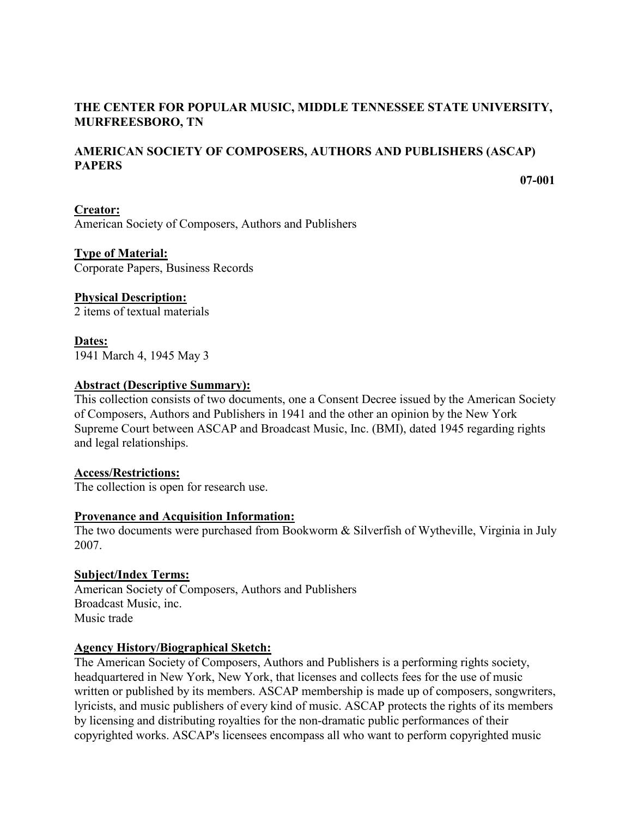## **THE CENTER FOR POPULAR MUSIC, MIDDLE TENNESSEE STATE UNIVERSITY, MURFREESBORO, TN**

# **AMERICAN SOCIETY OF COMPOSERS, AUTHORS AND PUBLISHERS (ASCAP) PAPERS**

**07-001**

**Creator:** American Society of Composers, Authors and Publishers

**Type of Material:** Corporate Papers, Business Records

### **Physical Description:**

2 items of textual materials

**Dates:** 1941 March 4, 1945 May 3

### **Abstract (Descriptive Summary):**

This collection consists of two documents, one a Consent Decree issued by the American Society of Composers, Authors and Publishers in 1941 and the other an opinion by the New York Supreme Court between ASCAP and Broadcast Music, Inc. (BMI), dated 1945 regarding rights and legal relationships.

### **Access/Restrictions:**

The collection is open for research use.

### **Provenance and Acquisition Information:**

The two documents were purchased from Bookworm & Silverfish of Wytheville, Virginia in July 2007.

### **Subject/Index Terms:**

American Society of Composers, Authors and Publishers Broadcast Music, inc. Music trade

### **Agency History/Biographical Sketch:**

The American Society of Composers, Authors and Publishers is a performing rights society, headquartered in New York, New York, that licenses and collects fees for the use of music written or published by its members. ASCAP membership is made up of composers, songwriters, lyricists, and music publishers of every kind of music. ASCAP protects the rights of its members by licensing and distributing royalties for the non-dramatic public performances of their copyrighted works. ASCAP's licensees encompass all who want to perform copyrighted music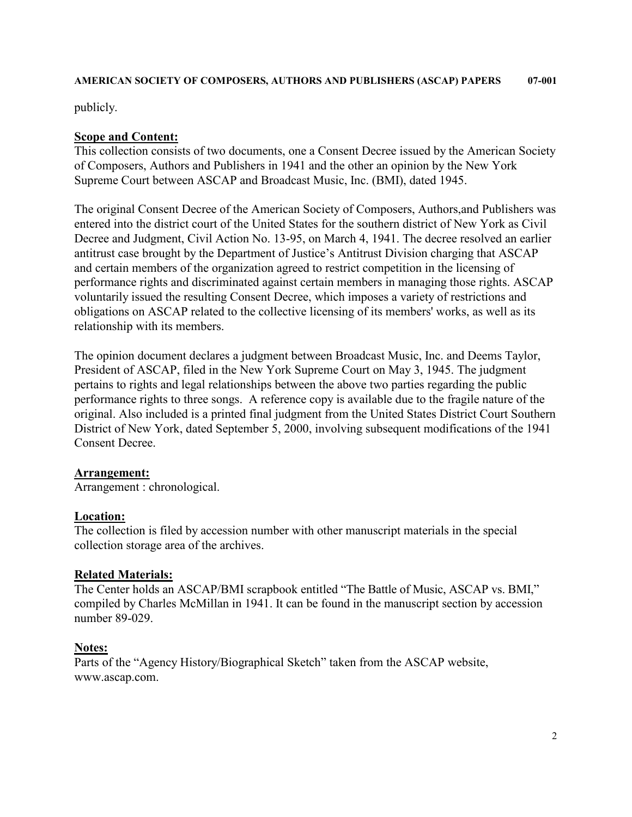#### **AMERICAN SOCIETY OF COMPOSERS, AUTHORS AND PUBLISHERS (ASCAP) PAPERS 07-001**

publicly.

### **Scope and Content:**

This collection consists of two documents, one a Consent Decree issued by the American Society of Composers, Authors and Publishers in 1941 and the other an opinion by the New York Supreme Court between ASCAP and Broadcast Music, Inc. (BMI), dated 1945.

The original Consent Decree of the American Society of Composers, Authors,and Publishers was entered into the district court of the United States for the southern district of New York as Civil Decree and Judgment, Civil Action No. 13-95, on March 4, 1941. The decree resolved an earlier antitrust case brought by the Department of Justice's Antitrust Division charging that ASCAP and certain members of the organization agreed to restrict competition in the licensing of performance rights and discriminated against certain members in managing those rights. ASCAP voluntarily issued the resulting Consent Decree, which imposes a variety of restrictions and obligations on ASCAP related to the collective licensing of its members' works, as well as its relationship with its members.

The opinion document declares a judgment between Broadcast Music, Inc. and Deems Taylor, President of ASCAP, filed in the New York Supreme Court on May 3, 1945. The judgment pertains to rights and legal relationships between the above two parties regarding the public performance rights to three songs. A reference copy is available due to the fragile nature of the original. Also included is a printed final judgment from the United States District Court Southern District of New York, dated September 5, 2000, involving subsequent modifications of the 1941 Consent Decree.

### **Arrangement:**

Arrangement : chronological.

### **Location:**

The collection is filed by accession number with other manuscript materials in the special collection storage area of the archives.

### **Related Materials:**

The Center holds an ASCAP/BMI scrapbook entitled "The Battle of Music, ASCAP vs. BMI," compiled by Charles McMillan in 1941. It can be found in the manuscript section by accession number 89-029.

### **Notes:**

Parts of the "Agency History/Biographical Sketch" taken from the ASCAP website, www.ascap.com.